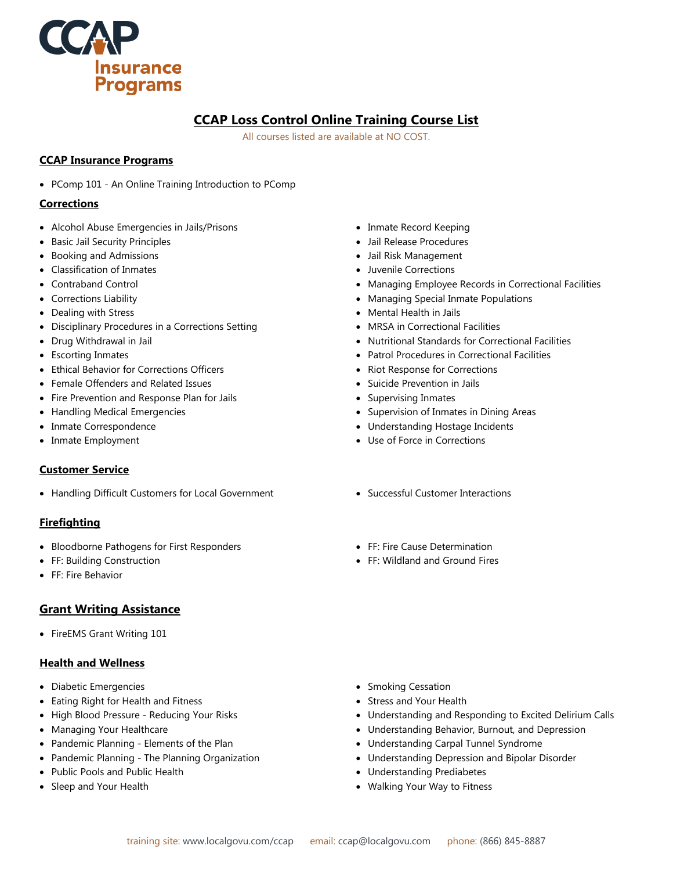

# **CCAP Loss Control Online Training Course List**

All courses listed are available at NO COST.

## **CCAP Insurance Programs**

• PComp 101 - An Online Training Introduction to PComp

#### **Corrections**

- Alcohol Abuse Emergencies in Jails/Prisons
- Basic Jail Security Principles
- Booking and Admissions
- Classification of Inmates
- Contraband Control
- Corrections Liability
- Dealing with Stress
- Disciplinary Procedures in a Corrections Setting
- Drug Withdrawal in Jail
- Escorting Inmates
- Ethical Behavior for Corrections Officers
- Female Offenders and Related Issues
- Fire Prevention and Response Plan for Jails
- Handling Medical Emergencies
- Inmate Correspondence
- Inmate Employment

## **Customer Service**

• Handling Difficult Customers for Local Government • Successful Customer Interactions

## **Firefighting**

- Bloodborne Pathogens for First Responders
- FF: Building Construction
- FF: Fire Behavior

## **Grant Writing Assistance**

• FireEMS Grant Writing 101

## **Health and Wellness**

- Diabetic Emergencies
- Eating Right for Health and Fitness
- High Blood Pressure Reducing Your Risks
- Managing Your Healthcare
- Pandemic Planning Elements of the Plan
- Pandemic Planning The Planning Organization
- Public Pools and Public Health
- Sleep and Your Health
- Inmate Record Keeping
- Jail Release Procedures
- Jail Risk Management
- Juvenile Corrections
- Managing Employee Records in Correctional Facilities
- Managing Special Inmate Populations
- Mental Health in Jails
- MRSA in Correctional Facilities
- Nutritional Standards for Correctional Facilities
- Patrol Procedures in Correctional Facilities
- Riot Response for Corrections
- Suicide Prevention in Jails
- Supervising Inmates
- Supervision of Inmates in Dining Areas
- Understanding Hostage Incidents
- Use of Force in Corrections
- 
- FF: Fire Cause Determination
- FF: Wildland and Ground Fires

- Smoking Cessation
- Stress and Your Health
- Understanding and Responding to Excited Delirium Calls
- Understanding Behavior, Burnout, and Depression
- Understanding Carpal Tunnel Syndrome
- Understanding Depression and Bipolar Disorder
- Understanding Prediabetes
- Walking Your Way to Fitness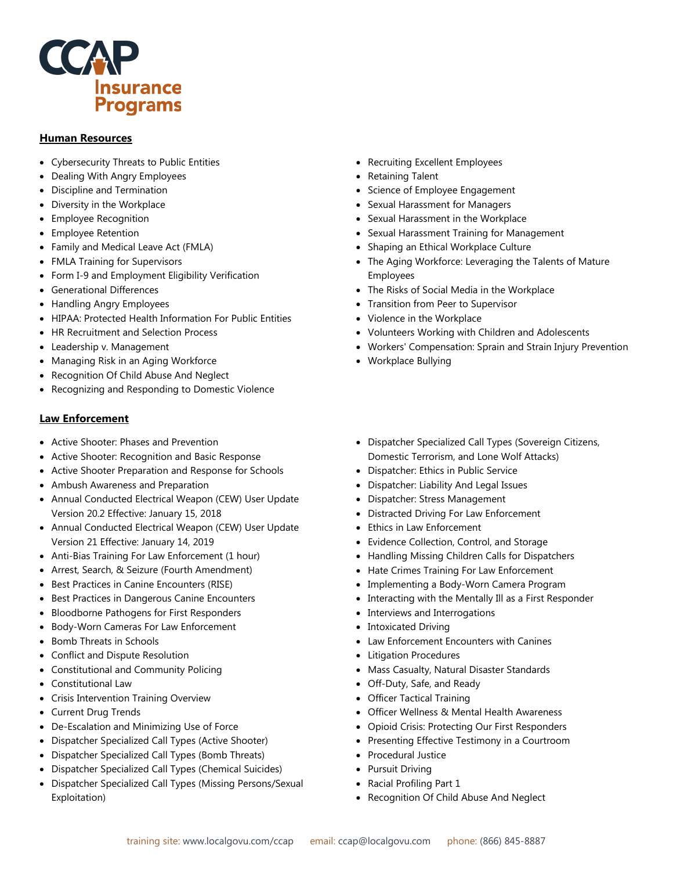

#### **Human Resources**

- Cybersecurity Threats to Public Entities
- Dealing With Angry Employees
- Discipline and Termination
- Diversity in the Workplace
- Employee Recognition
- Employee Retention
- Family and Medical Leave Act (FMLA)
- FMLA Training for Supervisors
- Form I-9 and Employment Eligibility Verification
- Generational Differences
- Handling Angry Employees
- HIPAA: Protected Health Information For Public Entities
- HR Recruitment and Selection Process
- Leadership v. Management
- Managing Risk in an Aging Workforce
- Recognition Of Child Abuse And Neglect
- Recognizing and Responding to Domestic Violence

## **Law Enforcement**

- Active Shooter: Phases and Prevention
- Active Shooter: Recognition and Basic Response
- Active Shooter Preparation and Response for Schools
- Ambush Awareness and Preparation
- Annual Conducted Electrical Weapon (CEW) User Update Version 20.2 Effective: January 15, 2018
- Annual Conducted Electrical Weapon (CEW) User Update Version 21 Effective: January 14, 2019
- Anti-Bias Training For Law Enforcement (1 hour)
- Arrest, Search, & Seizure (Fourth Amendment)
- Best Practices in Canine Encounters (RISE)
- Best Practices in Dangerous Canine Encounters
- Bloodborne Pathogens for First Responders
- Body-Worn Cameras For Law Enforcement
- Bomb Threats in Schools
- Conflict and Dispute Resolution
- Constitutional and Community Policing
- Constitutional Law
- Crisis Intervention Training Overview
- Current Drug Trends
- De-Escalation and Minimizing Use of Force
- Dispatcher Specialized Call Types (Active Shooter)
- Dispatcher Specialized Call Types (Bomb Threats)
- Dispatcher Specialized Call Types (Chemical Suicides)
- Dispatcher Specialized Call Types (Missing Persons/Sexual Exploitation)
- Recruiting Excellent Employees
- Retaining Talent
- Science of Employee Engagement
- Sexual Harassment for Managers
- Sexual Harassment in the Workplace
- Sexual Harassment Training for Management
- Shaping an Ethical Workplace Culture
- The Aging Workforce: Leveraging the Talents of Mature Employees
- The Risks of Social Media in the Workplace
- Transition from Peer to Supervisor
- Violence in the Workplace
- Volunteers Working with Children and Adolescents
- Workers' Compensation: Sprain and Strain Injury Prevention
- Workplace Bullying
- Dispatcher Specialized Call Types (Sovereign Citizens, Domestic Terrorism, and Lone Wolf Attacks)
- Dispatcher: Ethics in Public Service
- Dispatcher: Liability And Legal Issues
- Dispatcher: Stress Management
- Distracted Driving For Law Enforcement
- **Ethics in Law Enforcement**
- Evidence Collection, Control, and Storage
- Handling Missing Children Calls for Dispatchers
- Hate Crimes Training For Law Enforcement
- Implementing a Body-Worn Camera Program
- Interacting with the Mentally Ill as a First Responder
- Interviews and Interrogations
- Intoxicated Driving
- Law Enforcement Encounters with Canines
- **Litigation Procedures**
- Mass Casualty, Natural Disaster Standards
- Off-Duty, Safe, and Ready
- Officer Tactical Training
- Officer Wellness & Mental Health Awareness
- Opioid Crisis: Protecting Our First Responders
- Presenting Effective Testimony in a Courtroom
- Procedural Justice
- Pursuit Driving
- Racial Profiling Part 1
- Recognition Of Child Abuse And Neglect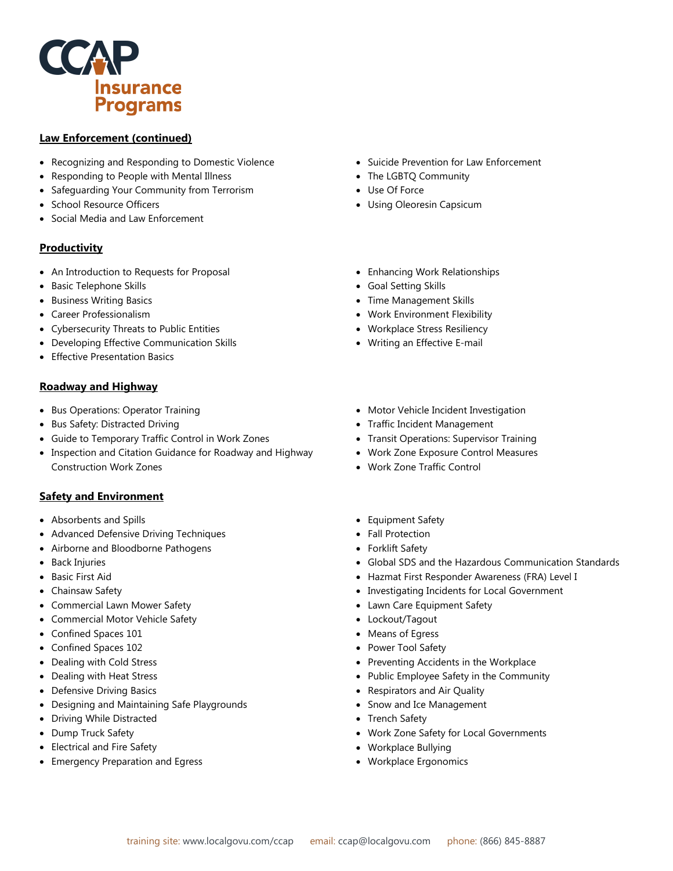

#### **Law Enforcement (continued)**

- Recognizing and Responding to Domestic Violence
- Responding to People with Mental Illness
- Safeguarding Your Community from Terrorism
- School Resource Officers
- Social Media and Law Enforcement

## **Productivity**

- An Introduction to Requests for Proposal
- Basic Telephone Skills
- Business Writing Basics
- Career Professionalism
- Cybersecurity Threats to Public Entities
- Developing Effective Communication Skills
- Effective Presentation Basics

#### **Roadway and Highway**

- Bus Operations: Operator Training
- Bus Safety: Distracted Driving
- Guide to Temporary Traffic Control in Work Zones
- Inspection and Citation Guidance for Roadway and Highway Construction Work Zones

## **Safety and Environment**

- Absorbents and Spills
- Advanced Defensive Driving Techniques
- Airborne and Bloodborne Pathogens
- Back Injuries
- Basic First Aid
- Chainsaw Safety
- Commercial Lawn Mower Safety
- Commercial Motor Vehicle Safety
- Confined Spaces 101
- Confined Spaces 102
- Dealing with Cold Stress
- Dealing with Heat Stress
- Defensive Driving Basics
- Designing and Maintaining Safe Playgrounds
- Driving While Distracted
- Dump Truck Safety
- Electrical and Fire Safety
- Emergency Preparation and Egress
- Suicide Prevention for Law Enforcement
- The LGBTQ Community
- Use Of Force
- Using Oleoresin Capsicum
- Enhancing Work Relationships
- Goal Setting Skills
- Time Management Skills
- Work Environment Flexibility
- Workplace Stress Resiliency
- Writing an Effective E-mail
- Motor Vehicle Incident Investigation
- Traffic Incident Management
- Transit Operations: Supervisor Training
- Work Zone Exposure Control Measures
- Work Zone Traffic Control
- Equipment Safety
- Fall Protection
- Forklift Safety
- Global SDS and the Hazardous Communication Standards
- Hazmat First Responder Awareness (FRA) Level I
- Investigating Incidents for Local Government
- Lawn Care Equipment Safety
- Lockout/Tagout
- Means of Egress
- Power Tool Safety
- Preventing Accidents in the Workplace
- Public Employee Safety in the Community
- Respirators and Air Quality
- Snow and Ice Management
- Trench Safety
- Work Zone Safety for Local Governments
- Workplace Bullying
- Workplace Ergonomics